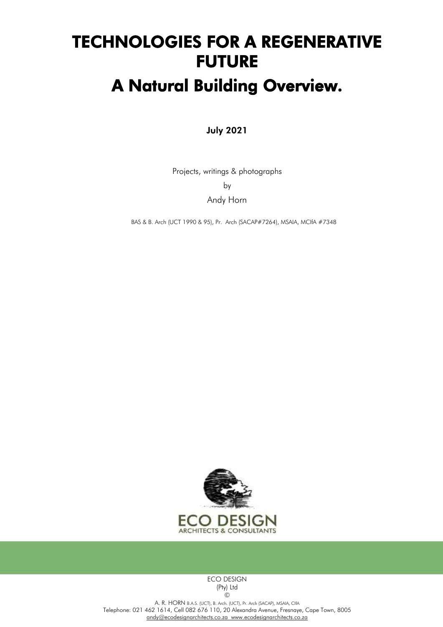# TECHNOLOGIES FOR A REGENERATIVE FUTURE

## A Natural Building Overview.

## July 2021

Projects, writings & photographs

by

Andy Horn

BAS & B. Arch (UCT 1990 & 95), Pr. Arch (SACAP#7264), MSAIA, MCIfA #7348



ECO DESIGN (Pty) Ltd ©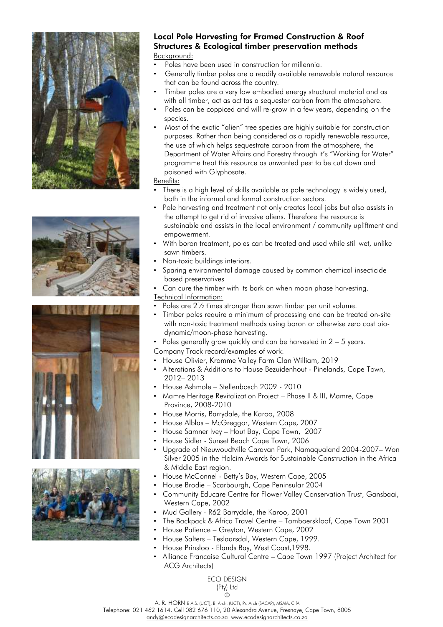







#### Local Pole Harvesting for Framed Construction & Roof Structures & Ecological timber preservation methods Background:

- Poles have been used in construction for millennia.
- Generally timber poles are a readily available renewable natural resource that can be found across the country.
- Timber poles are a very low embodied energy structural material and as with all timber, act as act tas a sequester carbon from the atmosphere.
- Poles can be coppiced and will re-grow in a few years, depending on the species.
- Most of the exotic "alien" tree species are highly suitable for construction purposes. Rather than being considered as a rapidly renewable resource, the use of which helps sequestrate carbon from the atmosphere, the Department of Water Affairs and Forestry through it's "Working for Water" programme treat this resource as unwanted pest to be cut down and poisoned with Glyphosate.

#### Benefits:

- There is a high level of skills available as pole technology is widely used, both in the informal and formal construction sectors.
- Pole harvesting and treatment not only creates local jobs but also assists in the attempt to get rid of invasive aliens. Therefore the resource is sustainable and assists in the local environment / community upliftment and empowerment.
- With boron treatment, poles can be treated and used while still wet, unlike sawn timbers.
- Non-toxic buildings interiors.
- Sparing environmental damage caused by common chemical insecticide based preservatives
- Can cure the timber with its bark on when moon phase harvesting.
- Technical Information:
- Poles are 21/2 times stronger than sawn timber per unit volume.
- Timber poles require a minimum of processing and can be treated on-site with non-toxic treatment methods using boron or otherwise zero cost biodynamic/moon-phase harvesting.
- Poles generally grow quickly and can be harvested in  $2 5$  years.

## Company Track record/examples of work:

- House Olivier, Kromme Valley Farm Clan William, 2019
- Alterations & Additions to House Bezuidenhout Pinelands, Cape Town, 2012– 2013
- House Ashmole Stellenbosch 2009 2010
- Mamre Heritage Revitalization Project Phase II & III, Mamre, Cape Province, 2008-2010
- House Morris, Barrydale, the Karoo, 2008
- House Alblas McGreggor, Western Cape, 2007
- House Samner Ivey Hout Bay, Cape Town, 2007
- House Sidler Sunset Beach Cape Town, 2006
- Upgrade of Nieuwoudtville Caravan Park, Namaqualand 2004-2007– Won Silver 2005 in the Holcim Awards for Sustainable Construction in the Africa & Middle East region.
- House McConnel Betty's Bay, Western Cape, 2005
- House Brodie Scarbourgh, Cape Peninsular 2004
- Community Educare Centre for Flower Valley Conservation Trust, Gansbaai, Western Cape, 2002
- Mud Gallery R62 Barrydale, the Karoo, 2001
- The Backpack & Africa Travel Centre Tamboerskloof, Cape Town 2001
- House Patience Greyton, Western Cape, 2002
- House Salters Teslaarsdal, Western Cape, 1999.
- House Prinsloo Elands Bay, West Coast,1998.
- Alliance Francaise Cultural Centre Cape Town 1997 (Project Architect for ACG Architects)

ECO DESIGN (Pty) Ltd ©

A. R. HORN B.A.S. (UCT), B. Arch. (UCT), Pr. Arch (SACAP), MSAIA, CIfA

Telephone: 021 462 1614, Cell 082 676 110, 20 Alexandra Avenue, Fresnaye, Cape Town, 8005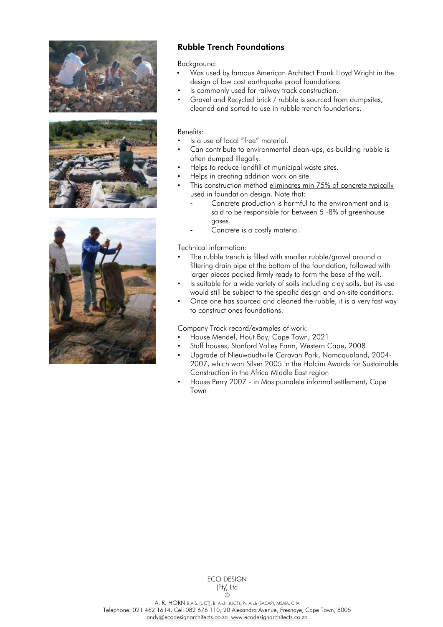





## Rubble Trench Foundations

Background:

- Was used by famous American Architect Frank Lloyd Wright in the design of low cost earthquake proof foundations.
- Is commonly used for railway track construction.
- Gravel and Recycled brick / rubble is sourced from dumpsites, cleaned and sorted to use in rubble trench foundations.

#### Benefits:

- Is a use of local "free" material.
- Can contribute to environmental clean-ups, as building rubble is often dumped illegally.
- Helps to reduce landfill at municipal waste sites.
- Helps in creating addition work on site.
- This construction method eliminates min 75% of concrete typically used in foundation design. Note that:
	- Concrete production is harmful to the environment and is said to be responsible for between 5 -8% of greenhouse gases.
	- Concrete is a costly material.

Technical information:

- The rubble trench is filled with smaller rubble/gravel around a filtering drain pipe at the bottom of the foundation, followed with larger pieces packed firmly ready to form the base of the wall.
- Is suitable for a wide variety of soils including clay soils, but its use would still be subject to the specific design and on-site conditions.
- Once one has sourced and cleaned the rubble, it is a very fast way to construct ones foundations.

Company Track record/examples of work:

- House Mendel, Hout Bay, Cape Town, 2021
- Staff houses, Stanford Valley Farm, Western Cape, 2008
- Upgrade of Nieuwoudtville Caravan Park, Namaqualand, 2004- 2007, which won Silver 2005 in the Holcim Awards for Sustainable Construction in the Africa Middle East region
- House Perry 2007 in Masipumalele informal settlement, Cape Town

A. R. HORN B.A.S. (UCT), B. Arch. (UCT), Pr. Arch (SACAP), MSAIA, CIfA Telephone: 021 462 1614, Cell 082 676 110, 20 Alexandra Avenue, Fresnaye, Cape Town, 8005 [andy@ecodesignarchitects.co.za](mailto:andy@ecodesignarchitects.co.za) [www.ecodesignarchitects.co.za](http://www.ecodesignarchitects.co.za/)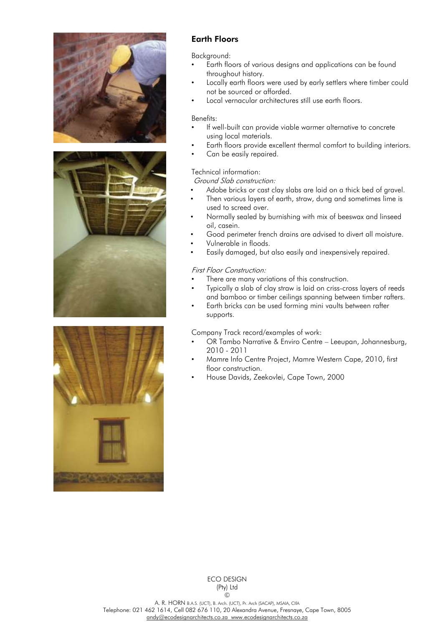





## Earth Floors

Background:

- Earth floors of various designs and applications can be found throughout history.
- Locally earth floors were used by early settlers where timber could not be sourced or afforded.
- Local vernacular architectures still use earth floors.

#### Benefits:

- If well-built can provide viable warmer alternative to concrete using local materials.
- Earth floors provide excellent thermal comfort to building interiors.
- Can be easily repaired.

#### Technical information:

Ground Slab construction:

- Adobe bricks or cast clay slabs are laid on a thick bed of gravel.
- Then various layers of earth, straw, dung and sometimes lime is used to screed over.
- Normally sealed by burnishing with mix of beeswax and linseed oil, casein.
- Good perimeter french drains are advised to divert all moisture.
- Vulnerable in floods.
- Easily damaged, but also easily and inexpensively repaired.

#### First Floor Construction:

- There are many variations of this construction.
- Typically a slab of clay straw is laid on criss-cross layers of reeds and bamboo or timber ceilings spanning between timber rafters.
- Earth bricks can be used forming mini vaults between rafter supports.

Company Track record/examples of work:

- OR Tambo Narrative & Enviro Centre Leeupan, Johannesburg, 2010 - 2011
- Mamre Info Centre Project, Mamre Western Cape, 2010, first floor construction.
- House Davids, Zeekovlei, Cape Town, 2000

ECO DESIGN (Pty) Ltd  $\odot$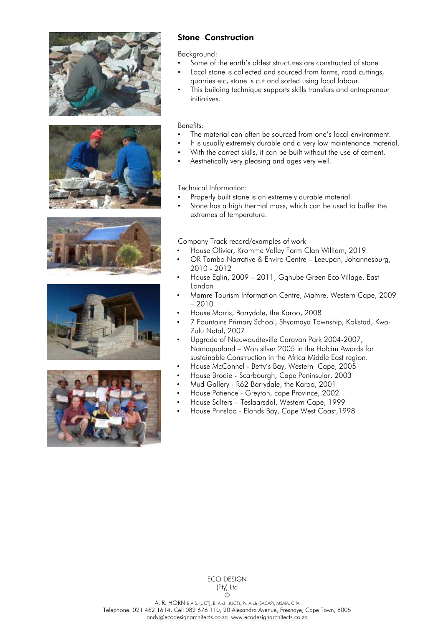









## Stone Construction

Background:

- Some of the earth's oldest structures are constructed of stone
- Local stone is collected and sourced from farms, road cuttings, quarries etc, stone is cut and sorted using local labour.
- This building technique supports skills transfers and entrepreneur initiatives.

#### Benefits:

- The material can often be sourced from one's local environment.
- It is usually extremely durable and a very low maintenance material.
- With the correct skills, it can be built without the use of cement.
- Aesthetically very pleasing and ages very well.

Technical Information:

- Properly built stone is an extremely durable material.
- Stone has a high thermal mass, which can be used to buffer the extremes of temperature.

Company Track record/examples of work

- House Olivier, Kromme Valley Farm Clan William, 2019
- OR Tambo Narrative & Enviro Centre Leeupan, Johannesburg, 2010 - 2012
- House Eglin, 2009 2011, Gqnube Green Eco Village, East London
- Mamre Tourism Information Centre, Mamre, Western Cape, 2009 – 2010
- House Morris, Barrydale, the Karoo, 2008
- 7 Fountains Primary School, Shyamaya Township, Kokstad, Kwa-Zulu Natal, 2007
- Upgrade of Nieuwoudteville Caravan Park 2004-2007, Namaqualand – Won silver 2005 in the Holcim Awards for sustainable Construction in the Africa Middle East region.
- House McConnel Betty's Bay, Western Cape, 2005
- House Brodie Scarbourgh, Cape Peninsular, 2003
- Mud Gallery R62 Barrydale, the Karoo, 2001
- House Patience Greyton, cape Province, 2002
- House Salters Teslaarsdal, Western Cape, 1999
- House Prinsloo Elands Bay, Cape West Coast,1998

ECO DESIGN (Pty) Ltd  $\odot$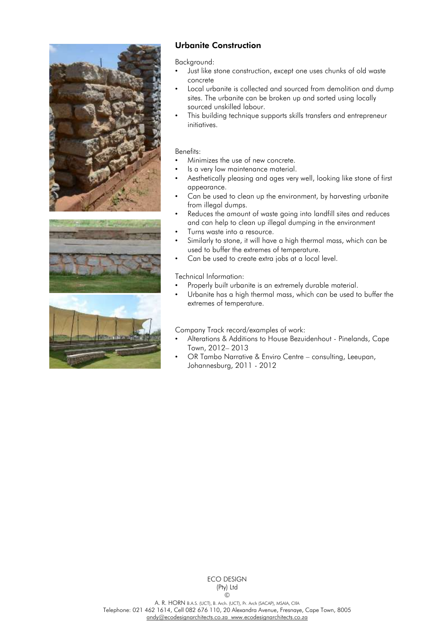





## Urbanite Construction

Background:

- Just like stone construction, except one uses chunks of old waste concrete
- Local urbanite is collected and sourced from demolition and dump sites. The urbanite can be broken up and sorted using locally sourced unskilled labour.
- This building technique supports skills transfers and entrepreneur initiatives.

#### Benefits:

- Minimizes the use of new concrete.
- Is a very low maintenance material.
- Aesthetically pleasing and ages very well, looking like stone of first appearance.
- Can be used to clean up the environment, by harvesting urbanite from illegal dumps.
- Reduces the amount of waste going into landfill sites and reduces and can help to clean up illegal dumping in the environment
- Turns waste into a resource.
- Similarly to stone, it will have a high thermal mass, which can be used to buffer the extremes of temperature.
- Can be used to create extra jobs at a local level.

#### Technical Information:

- Properly built urbanite is an extremely durable material.
- Urbanite has a high thermal mass, which can be used to buffer the extremes of temperature.

#### Company Track record/examples of work:

- Alterations & Additions to House Bezuidenhout Pinelands, Cape Town, 2012– 2013
- OR Tambo Narrative & Enviro Centre consulting, Leeupan, Johannesburg, 2011 - 2012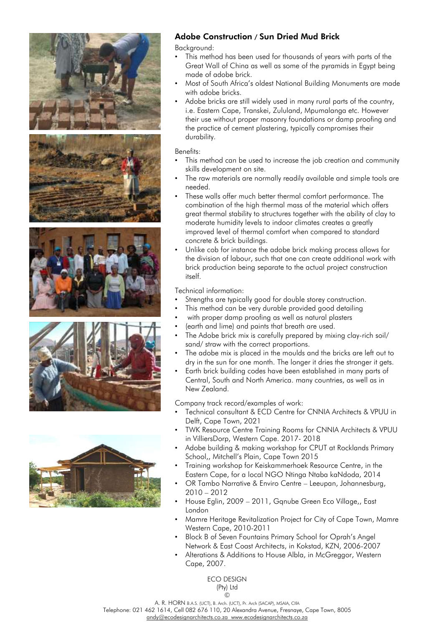

## Adobe Construction / Sun Dried Mud Brick

Background:

- This method has been used for thousands of years with parts of the Great Wall of China as well as some of the pyramids in Egypt being made of adobe brick.
- Most of South Africa's oldest National Building Monuments are made with adobe bricks.
- Adobe bricks are still widely used in many rural parts of the country, i.e. Eastern Cape, Transkei, Zululand, Mpumalanga etc. However their use without proper masonry foundations or damp proofing and the practice of cement plastering, typically compromises their durability.

Benefits:

- This method can be used to increase the job creation and community skills development on site.
- The raw materials are normally readily available and simple tools are needed.
- These walls offer much better thermal comfort performance. The combination of the high thermal mass of the material which offers great thermal stability to structures together with the ability of clay to moderate humidity levels to indoor climates creates a greatly improved level of thermal comfort when compared to standard concrete & brick buildings.
- Unlike cob for instance the adobe brick making process allows for the division of labour, such that one can create additional work with brick production being separate to the actual project construction itself.

Technical information:

- Strengths are typically good for double storey construction.
- This method can be very durable provided good detailing
- with proper damp proofing as well as natural plasters
- (earth and lime) and paints that breath are used.
- The Adobe brick mix is carefully prepared by mixing clay-rich soil/ sand/ straw with the correct proportions.
- The adobe mix is placed in the moulds and the bricks are left out to dry in the sun for one month. The longer it dries the stronger it gets.
- Earth brick building codes have been established in many parts of Central, South and North America. many countries, as well as in New Zealand.

Company track record/examples of work:

- Technical consultant & ECD Centre for CNNIA Architects & VPUU in Delft, Cape Town, 2021
- TWK Resource Centre Training Rooms for CNNIA Architects & VPUU in VilliersDorp, Western Cape. 2017- 2018
- Adobe building & making workshop for CPUT at Rocklands Primary School,, Mitchell's Plain, Cape Town 2015
- Training workshop for Keiskammerhoek Resource Centre, in the Eastern Cape, for a local NGO Ntinga Ntaba kaNdoda, 2014
- OR Tambo Narrative & Enviro Centre Leeupan, Johannesburg, 2010 – 2012
- House Eglin, 2009 2011, Gqnube Green Eco Village,, East London
- Mamre Heritage Revitalization Project for City of Cape Town, Mamre Western Cape, 2010-2011
- Block B of Seven Fountains Primary School for Oprah's Angel Network & East Coast Architects, in Kokstad, KZN, 2006-2007
- Alterations & Additions to House Albla, in McGreggor, Western Cape, 2007.

ECO DESIGN (Pty) Ltd ©

A. R. HORN B.A.S. (UCT), B. Arch. (UCT), Pr. Arch (SACAP), MSAIA, CIfA

Telephone: 021 462 1614, Cell 082 676 110, 20 Alexandra Avenue, Fresnaye, Cape Town, 8005 [andy@ecodesignarchitects.co.za](mailto:andy@ecodesignarchitects.co.za) [www.ecodesignarchitects.co.za](http://www.ecodesignarchitects.co.za/)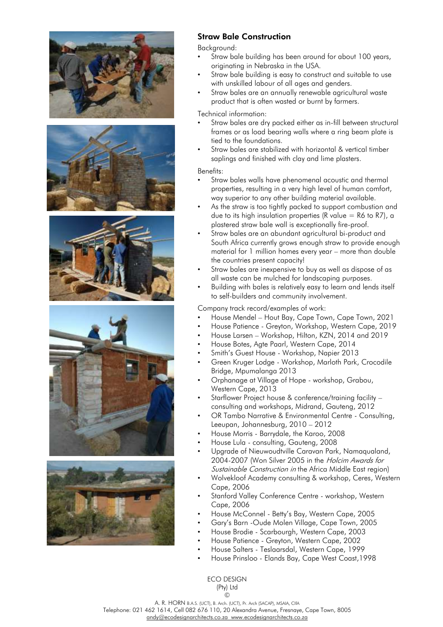









## Straw Bale Construction

Backaround:

- Straw bale building has been around for about 100 years, originating in Nebraska in the USA.
- Straw bale building is easy to construct and suitable to use with unskilled labour of all ages and genders.
- Straw bales are an annually renewable agricultural waste product that is often wasted or burnt by farmers.

Technical information:

- Straw bales are dry packed either as in-fill between structural frames or as load bearing walls where a ring beam plate is tied to the foundations.
- Straw bales are stabilized with horizontal & vertical timber saplings and finished with clay and lime plasters.

#### Benefits:

- Straw bales walls have phenomenal acoustic and thermal properties, resulting in a very high level of human comfort, way superior to any other building material available.
- As the straw is too tightly packed to support combustion and due to its high insulation properties (R value  $=$  R6 to R7), a plastered straw bale wall is exceptionally fire-proof.
- Straw bales are an abundant agricultural bi-product and South Africa currently grows enough straw to provide enough material for 1 million homes every year – more than double the countries present capacity!
- Straw bales are inexpensive to buy as well as dispose of as all waste can be mulched for landscaping purposes.
- Building with bales is relatively easy to learn and lends itself to self-builders and community involvement.

#### Company track record/examples of work:

- House Mendel Hout Bay, Cape Town, Cape Town, 2021
- House Patience Greyton, Workshop, Western Cape, 2019
- House Larsen Workshop, Hilton, KZN, 2014 and 2019
- House Botes, Agte Paarl, Western Cape, 2014
- Smith's Guest House Workshop, Napier 2013
- Green Kruger Lodge Workshop, Marloth Park, Crocodile Bridge, Mpumalanga 2013
- Orphanage at Village of Hope workshop, Grabou, Western Cape, 2013
- Starflower Project house & conference/training facility consulting and workshops, Midrand, Gauteng, 2012
- OR Tambo Narrative & Environmental Centre Consulting, Leeupan, Johannesburg, 2010 – 2012
- House Morris Barrydale, the Karoo, 2008
- House Lula consulting, Gauteng, 2008
- Upgrade of Nieuwoudtville Caravan Park, Namaqualand, 2004-2007 (Won Silver 2005 in the Holcim Awards for Sustainable Construction in the Africa Middle East region)
- Wolvekloof Academy consulting & workshop, Ceres, Western Cape, 2006
- Stanford Valley Conference Centre workshop, Western Cape, 2006
- House McConnel Betty's Bay, Western Cape, 2005
- Gary's Barn -Oude Molen Village, Cape Town, 2005
- House Brodie Scarbourgh, Western Cape, 2003
- House Patience Greyton, Western Cape, 2002
- House Salters Teslaarsdal, Western Cape, 1999
- House Prinsloo Elands Bay, Cape West Coast,1998

ECO DESIGN (Pty) Ltd  $\odot$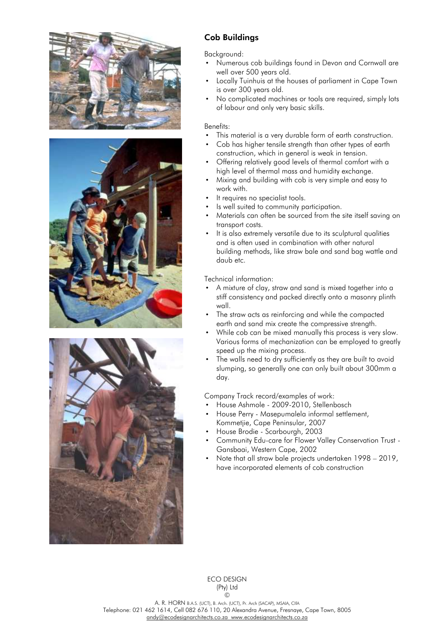





## Cob Buildings

#### Background:

- Numerous cob buildings found in Devon and Cornwall are well over 500 years old.
- Locally Tuinhuis at the houses of parliament in Cape Town is over 300 years old.
- No complicated machines or tools are required, simply lots of labour and only very basic skills.

#### Benefits:

- This material is a very durable form of earth construction.
- Cob has higher tensile strength than other types of earth construction, which in general is weak in tension.
- Offering relatively good levels of thermal comfort with a high level of thermal mass and humidity exchange.
- Mixing and building with cob is very simple and easy to work with.
- It requires no specialist tools.
- Is well suited to community participation.
- Materials can often be sourced from the site itself saving on transport costs.
- It is also extremely versatile due to its sculptural qualities and is often used in combination with other natural building methods, like straw bale and sand bag wattle and daub etc.

Technical information:

- A mixture of clay, straw and sand is mixed together into a stiff consistency and packed directly onto a masonry plinth wall.
- The straw acts as reinforcing and while the compacted earth and sand mix create the compressive strength.
- While cob can be mixed manually this process is very slow. Various forms of mechanization can be employed to greatly speed up the mixing process.
- The walls need to dry sufficiently as they are built to avoid slumping, so generally one can only built about 300mm a day.

Company Track record/examples of work:

- House Ashmole 2009-2010, Stellenbosch
- House Perry Masepumalela informal settlement, Kommetjie, Cape Peninsular, 2007
- House Brodie Scarbourgh, 2003
- Community Edu-care for Flower Valley Conservation Trust Gansbaai, Western Cape, 2002
- Note that all straw bale projects undertaken 1998 2019, have incorporated elements of cob construction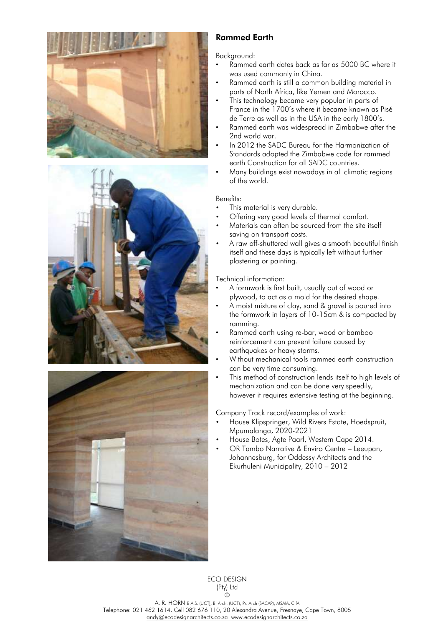





## Rammed Earth

Background:

- Rammed earth dates back as far as 5000 BC where it was used commonly in China.
- Rammed earth is still a common building material in parts of North Africa, like Yemen and Morocco.
- This technology became very popular in parts of France in the 1700's where it became known as Pisé de Terre as well as in the USA in the early 1800's.
- Rammed earth was widespread in Zimbabwe after the 2nd world war.
- In 2012 the SADC Bureau for the Harmonization of Standards adopted the Zimbabwe code for rammed earth Construction for all SADC countries.
- Many buildings exist nowadays in all climatic regions of the world.

#### Benefits:

- This material is very durable.
- Offering very good levels of thermal comfort.
- Materials can often be sourced from the site itself saving on transport costs.
- A raw off-shuttered wall gives a smooth beautiful finish itself and these days is typically left without further plastering or painting.

## Technical information:

- A formwork is first built, usually out of wood or plywood, to act as a mold for the desired shape.
- A moist mixture of clay, sand & gravel is poured into the formwork in layers of 10-15cm & is compacted by ramming.
- Rammed earth using re-bar, wood or bamboo reinforcement can prevent failure caused by earthquakes or heavy storms.
- Without mechanical tools rammed earth construction can be very time consuming.
- This method of construction lends itself to high levels of mechanization and can be done very speedily, however it requires extensive testing at the beginning.

Company Track record/examples of work:

- House Klipspringer, Wild Rivers Estate, Hoedspruit, Mpumalanga, 2020-2021
- House Botes, Agte Paarl, Western Cape 2014.
- OR Tambo Narrative & Enviro Centre Leeupan, Johannesburg, for Oddessy Architects and the Ekurhuleni Municipality, 2010 – 2012

ECO DESIGN (Pty) Ltd ©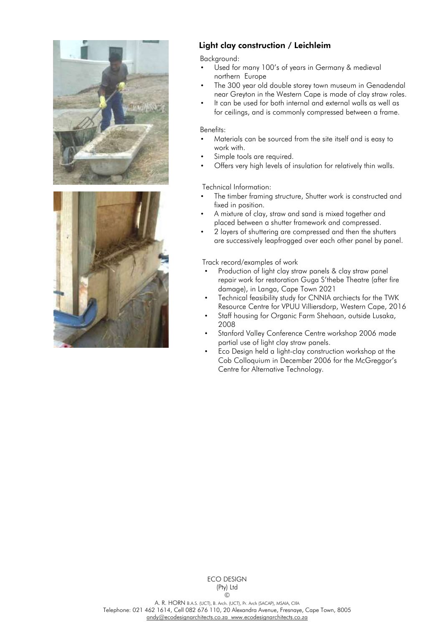



## Light clay construction / Leichleim

Background:

- Used for many 100's of years in Germany & medieval northern Europe
- The 300 year old double storey town museum in Genadendal near Greyton in the Western Cape is made of clay straw roles.
- It can be used for both internal and external walls as well as for ceilings, and is commonly compressed between a frame.

#### Benefits:

- Materials can be sourced from the site itself and is easy to work with.
- Simple tools are required.
- Offers very high levels of insulation for relatively thin walls.

#### Technical Information:

- The timber framing structure, Shutter work is constructed and fixed in position.
- A mixture of clay, straw and sand is mixed together and placed between a shutter framework and compressed.
- 2 layers of shuttering are compressed and then the shutters are successively leapfrogged over each other panel by panel.

#### Track record/examples of work

- Production of light clay straw panels & clay straw panel repair work for restoration Guga S'thebe Theatre (after fire damage), in Langa, Cape Town 2021
- Technical feasibility study for CNNIA archiects for the TWK Resource Centre for VPUU Villiersdorp, Western Cape, 2016
- Staff housing for Organic Farm Shehaan, outside Lusaka, 2008
- Stanford Valley Conference Centre workshop 2006 made partial use of light clay straw panels.
- Eco Design held a light-clay construction workshop at the Cob Colloquium in December 2006 for the McGreggor's Centre for Alternative Technology.

ECO DESIGN (Pty) Ltd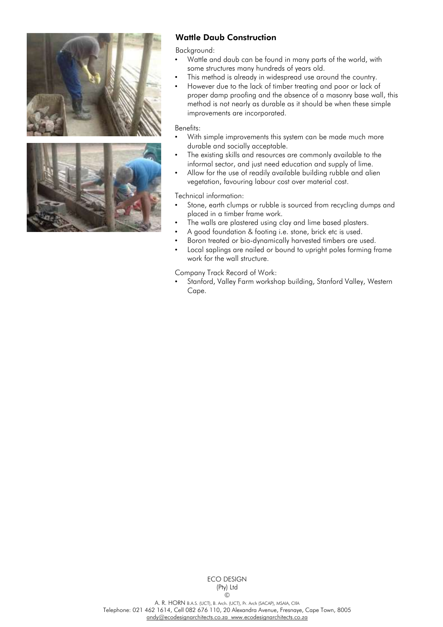



## Wattle Daub Construction

Backaround:

- Wattle and daub can be found in many parts of the world, with some structures many hundreds of years old.
- This method is already in widespread use around the country.
- However due to the lack of timber treating and poor or lack of proper damp proofing and the absence of a masonry base wall, this method is not nearly as durable as it should be when these simple improvements are incorporated.

#### Benefits:

- With simple improvements this system can be made much more durable and socially acceptable.
- The existing skills and resources are commonly available to the informal sector, and just need education and supply of lime.
- Allow for the use of readily available building rubble and alien vegetation, favouring labour cost over material cost.

Technical information:

- Stone, earth clumps or rubble is sourced from recycling dumps and placed in a timber frame work.
- The walls are plastered using clay and lime based plasters.
- A good foundation & footing i.e. stone, brick etc is used.
- Boron treated or bio-dynamically harvested timbers are used.
- Local saplings are nailed or bound to upright poles forming frame work for the wall structure.

Company Track Record of Work:

• Stanford, Valley Farm workshop building, Stanford Valley, Western Cape.

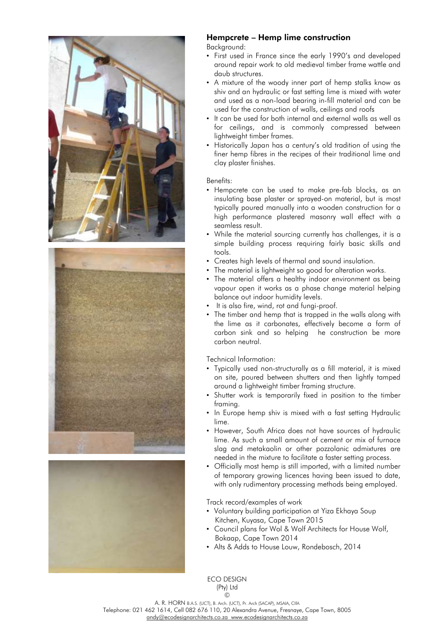





## Hempcrete – Hemp lime construction

Background:

- First used in France since the early 1990's and developed around repair work to old medieval timber frame wattle and daub structures.
- A mixture of the woody inner part of hemp stalks know as shiv and an hydraulic or fast setting [lime](https://materialdistrict.com/?s=lime) is mixed with water and used as a non-load bearing in-fill material and can be used for the construction of walls, ceilings and roofs
- It can be used for both internal and external walls as well as for ceilings, and is commonly compressed between lightweight timber frames.
- Historically Japan has a century's old tradition of using the finer hemp fibres in the recipes of their traditional lime and clay plaster finishes.

#### Benefits:

- Hempcrete can be used to make pre-fab blocks, as an insulating base plaster or sprayed-on material, but is most typically poured manually into a [wooden](https://materialdistrict.com/?s=wood) construction for a high performance plastered masonry wall effect with a seamless result.
- While the material sourcing currently has challenges, it is a simple building process requiring fairly basic skills and tools.
- Creates high levels of thermal and sound insulation.
- The material is lightweight so good for alteration works.
- The material offers a healthy indoor environment as being vapour open it works as a phase change material helping balance out indoor humidity levels.
- It is also fire, wind, rot and fungi-proof.
- The timber and hemp that is trapped in the walls along with the lime as it carbonates, effectively become a form of carbon sink and so helping he construction be more carbon neutral.

Technical Information:

- Typically used non-structurally as a fill material, it is mixed on site, poured between shutters and then lightly tamped around a lightweight timber framing structure.
- Shutter work is temporarily fixed in position to the timber framing.
- In Europe hemp shiv is mixed with a fast setting Hydraulic lime.
- However, South Africa does not have sources of hydraulic lime. As such a small amount of cement or mix of furnace slag and metakaolin or other pozzolanic admixtures are needed in the mixture to facilitate a faster setting process.
- Officially most hemp is still imported, with a limited number of temporary growing licences having been issued to date, with only rudimentary processing methods being employed.

Track record/examples of work

- Voluntary building participation at Yiza Ekhaya Soup Kitchen, Kuyasa, Cape Town 2015
- Council plans for Wol & Wolf Architects for House Wolf, Bokaap, Cape Town 2014
- Alts & Adds to House Louw, Rondebosch, 2014

ECO DESIGN (Pty) Ltd  $\odot$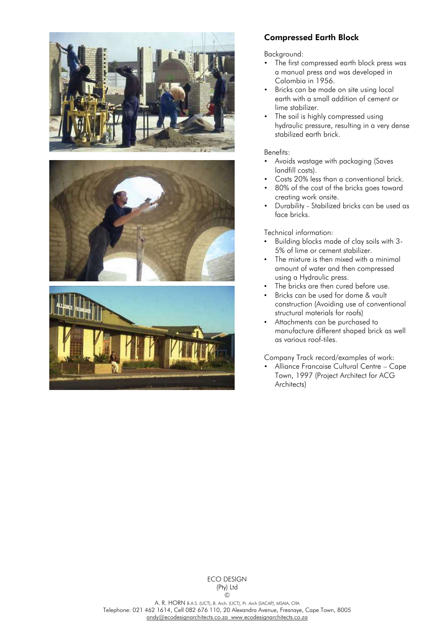





## Compressed Earth Block

Background:

- The first compressed earth block press was a manual press and was developed in Colombia in 1956.
- Bricks can be made on site using local earth with a small addition of cement or lime stabilizer.
- The soil is highly compressed using hydraulic pressure, resulting in a very dense stabilized earth brick.

#### Benefits:

- Avoids wastage with packaging (Saves landfill costs).
- Costs 20% less than a conventional brick.
- 80% of the cost of the bricks goes toward creating work onsite.
- Durability Stabilized bricks can be used as face bricks.

Technical information:

- Building blocks made of clay soils with 3- 5% of lime or cement stabilizer.
- The mixture is then mixed with a minimal amount of water and then compressed using a Hydraulic press.
- The bricks are then cured before use.
- Bricks can be used for dome & vault construction (Avoiding use of conventional structural materials for roofs)
- Attachments can be purchased to manufacture different shaped brick as well as various roof-tiles.

Company Track record/examples of work:

• Alliance Francaise Cultural Centre – Cape Town, 1997 (Project Architect for ACG Architects)

A. R. HORN B.A.S. (UCT), B. Arch. (UCT), Pr. Arch (SACAP), MSAIA, CIfA Telephone: 021 462 1614, Cell 082 676 110, 20 Alexandra Avenue, Fresnaye, Cape Town, 8005 [andy@ecodesignarchitects.co.za](mailto:andy@ecodesignarchitects.co.za) [www.ecodesignarchitects.co.za](http://www.ecodesignarchitects.co.za/)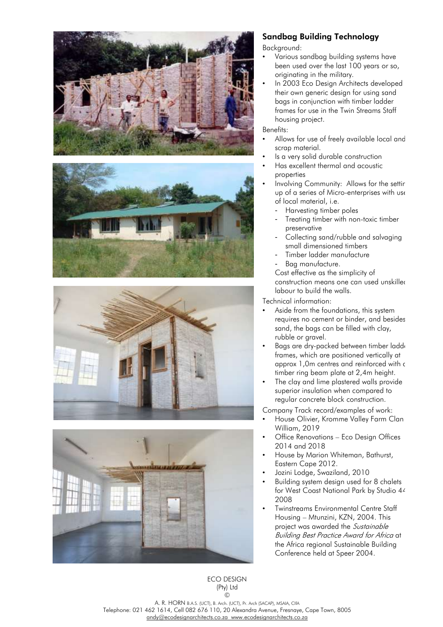







## Sandbag Building Technology

Background:

- Various sandbag building systems have been used over the last 100 years or so, originating in the military.
- In 2003 Eco Design Architects developed their own generic design for using sand bags in conjunction with timber ladder frames for use in the Twin Streams Staff housing project.

#### Benefits:

- Allows for use of freely available local and scrap material.
- Is a very solid durable construction
- Has excellent thermal and acoustic properties
- Involving Community: Allows for the settir up of a series of Micro-enterprises with use of local material, i.e.
	- Harvesting timber poles
	- Treating timber with non-toxic timber preservative
	- Collecting sand/rubble and salvaging small dimensioned timbers
	- Timber ladder manufacture
	- Bag manufacture.

Cost effective as the simplicity of construction means one can used unskilled labour to build the walls.

Technical information:

- Aside from the foundations, this system requires no cement or binder, and besides sand, the bags can be filled with clay, rubble or gravel.
- Bags are dry-packed between timber ladde frames, which are positioned vertically at approx 1,0m centres and reinforced with a timber ring beam plate at 2,4m height.
- The clay and lime plastered walls provide superior insulation when compared to regular concrete block construction.

Company Track record/examples of work:

- House Olivier, Kromme Valley Farm Clan William, 2019
- Office Renovations Eco Design Offices 2014 and 2018
- House by Marion Whiteman, Bathurst, Eastern Cape 2012.
- Jozini Lodge, Swaziland, 2010
- Building system design used for 8 chalets for West Coast National Park by Studio 44 2008
- Twinstreams Environmental Centre Staff Housing – Mtunzini, KZN, 2004. This project was awarded the Sustainable Building Best Practice Award for Africa at the Africa regional Sustainable Building Conference held at Speer 2004.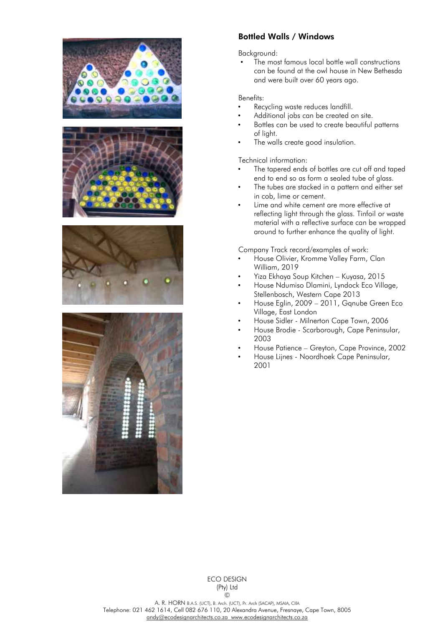







## Bottled Walls / Windows

#### Background:

The most famous local bottle wall constructions can be found at the owl house in New Bethesda and were built over 60 years ago.

#### Benefits:

- Recycling waste reduces landfill.
- Additional jobs can be created on site.
- Bottles can be used to create beautiful patterns of light.
- The walls create good insulation.

Technical information:

- The tapered ends of bottles are cut off and taped end to end so as form a sealed tube of glass.
- The tubes are stacked in a pattern and either set in cob, lime or cement.
- Lime and white cement are more effective at reflecting light through the glass. Tinfoil or waste material with a reflective surface can be wrapped around to further enhance the quality of light.

Company Track record/examples of work:

- House Olivier, Kromme Valley Farm, Clan William, 2019
- Yiza Ekhaya Soup Kitchen Kuyasa, 2015
- House Ndumiso Dlamini, Lyndock Eco Village, Stellenbosch, Western Cape 2013
- House Eglin, 2009 2011, Gqnube Green Eco Village, East London
- House Sidler Milnerton Cape Town, 2006
- House Brodie Scarborough, Cape Peninsular, 2003
- House Patience Greyton, Cape Province, 2002
- House Lijnes Noordhoek Cape Peninsular, 2001